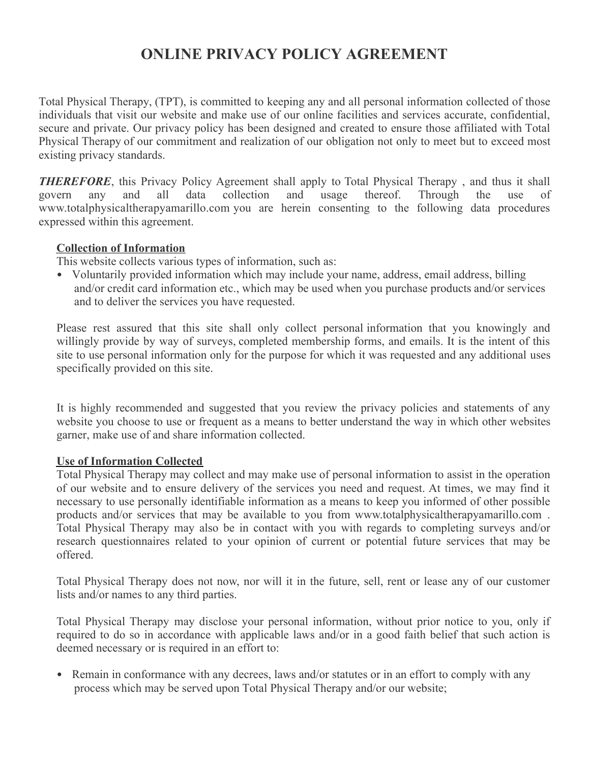# **ONLINE PRIVACY POLICY AGREEMENT**

Total Physical Therapy, (TPT), is committed to keeping any and all personal information collected of those individuals that visit our website and make use of our online facilities and services accurate, confidential, secure and private. Our privacy policy has been designed and created to ensure those affiliated with Total Physical Therapy of our commitment and realization of our obligation not only to meet but to exceed most existing privacy standards.

*THEREFORE*, this Privacy Policy Agreement shall apply to Total Physical Therapy, and thus it shall govern any and all data collection and usage thereof. Through the use of www.totalphysicaltherapyamarillo.com you are herein consenting to the following data procedures expressed within this agreement.

#### **Collection of Information**

This website collects various types of information, such as:

• Voluntarily provided information which may include your name, address, email address, billing and/or credit card information etc., which may be used when you purchase products and/or services and to deliver the services you have requested.

Please rest assured that this site shall only collect personal information that you knowingly and willingly provide by way of surveys, completed membership forms, and emails. It is the intent of this site to use personal information only for the purpose for which it was requested and any additional uses specifically provided on this site.

It is highly recommended and suggested that you review the privacy policies and statements of any website you choose to use or frequent as a means to better understand the way in which other websites garner, make use of and share information collected.

#### **Use of Information Collected**

Total Physical Therapy may collect and may make use of personal information to assist in the operation of our website and to ensure delivery of the services you need and request. At times, we may find it necessary to use personally identifiable information as a means to keep you informed of other possible products and/or services that may be available to you from www.totalphysicaltherapyamarillo.com . Total Physical Therapy may also be in contact with you with regards to completing surveys and/or research questionnaires related to your opinion of current or potential future services that may be offered.

Total Physical Therapy does not now, nor will it in the future, sell, rent or lease any of our customer lists and/or names to any third parties.

Total Physical Therapy may disclose your personal information, without prior notice to you, only if required to do so in accordance with applicable laws and/or in a good faith belief that such action is deemed necessary or is required in an effort to:

• Remain in conformance with any decrees, laws and/or statutes or in an effort to comply with any process which may be served upon Total Physical Therapy and/or our website;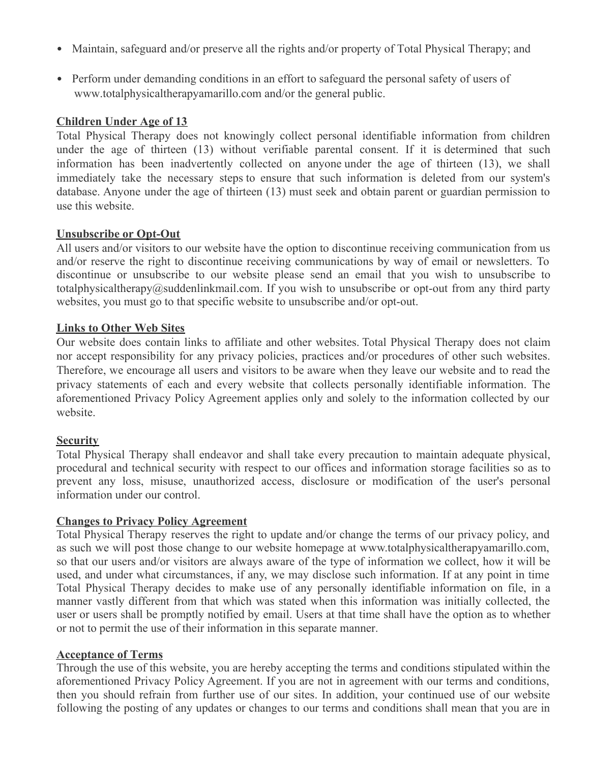- Maintain, safeguard and/or preserve all the rights and/or property of Total Physical Therapy; and
- Perform under demanding conditions in an effort to safeguard the personal safety of users of www.totalphysicaltherapyamarillo.com and/or the general public.

#### **Children Under Age of 13**

Total Physical Therapy does not knowingly collect personal identifiable information from children under the age of thirteen (13) without verifiable parental consent. If it is determined that such information has been inadvertently collected on anyone under the age of thirteen (13), we shall immediately take the necessary steps to ensure that such information is deleted from our system's database. Anyone under the age of thirteen (13) must seek and obtain parent or guardian permission to use this website.

#### **Unsubscribe or Opt-Out**

All users and/or visitors to our website have the option to discontinue receiving communication from us and/or reserve the right to discontinue receiving communications by way of email or newsletters. To discontinue or unsubscribe to our website please send an email that you wish to unsubscribe to totalphysicaltherapy@suddenlinkmail.com. If you wish to unsubscribe or opt-out from any third party websites, you must go to that specific website to unsubscribe and/or opt-out.

#### **Links to Other Web Sites**

Our website does contain links to affiliate and other websites. Total Physical Therapy does not claim nor accept responsibility for any privacy policies, practices and/or procedures of other such websites. Therefore, we encourage all users and visitors to be aware when they leave our website and to read the privacy statements of each and every website that collects personally identifiable information. The aforementioned Privacy Policy Agreement applies only and solely to the information collected by our website.

#### **Security**

Total Physical Therapy shall endeavor and shall take every precaution to maintain adequate physical, procedural and technical security with respect to our offices and information storage facilities so as to prevent any loss, misuse, unauthorized access, disclosure or modification of the user's personal information under our control.

#### **Changes to Privacy Policy Agreement**

Total Physical Therapy reserves the right to update and/or change the terms of our privacy policy, and as such we will post those change to our website homepage at www.totalphysicaltherapyamarillo.com, so that our users and/or visitors are always aware of the type of information we collect, how it will be used, and under what circumstances, if any, we may disclose such information. If at any point in time Total Physical Therapy decides to make use of any personally identifiable information on file, in a manner vastly different from that which was stated when this information was initially collected, the user or users shall be promptly notified by email. Users at that time shall have the option as to whether or not to permit the use of their information in this separate manner.

#### **Acceptance of Terms**

Through the use of this website, you are hereby accepting the terms and conditions stipulated within the aforementioned Privacy Policy Agreement. If you are not in agreement with our terms and conditions, then you should refrain from further use of our sites. In addition, your continued use of our website following the posting of any updates or changes to our terms and conditions shall mean that you are in